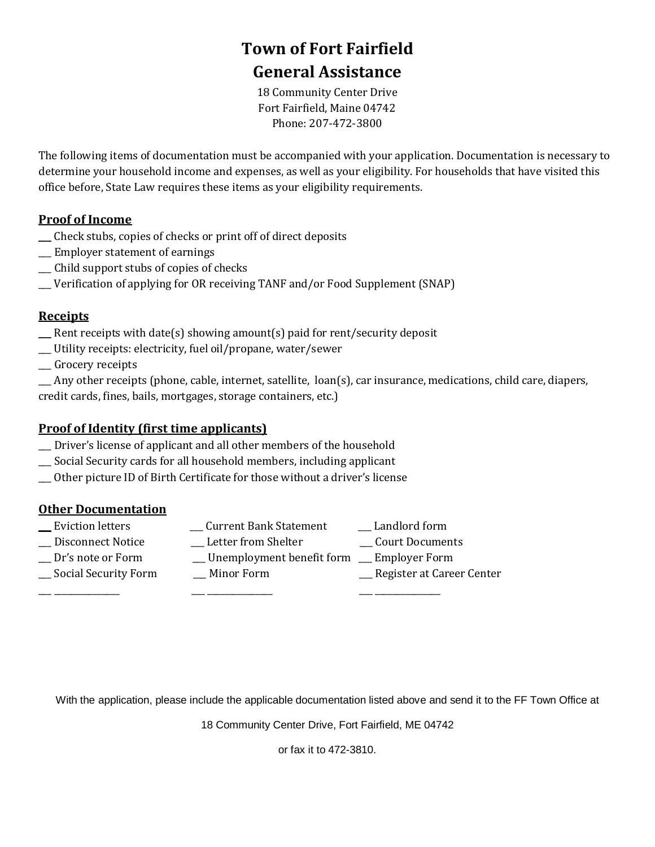# **Town of Fort Fairfield General Assistance**

18 Community Center Drive Fort Fairfield, Maine 04742 Phone: 207-472-3800

The following items of documentation must be accompanied with your application. Documentation is necessary to determine your household income and expenses, as well as your eligibility. For households that have visited this office before, State Law requires these items as your eligibility requirements.

### **Proof of Income**

- \_\_\_ Check stubs, copies of checks or print off of direct deposits
- \_\_\_ Employer statement of earnings
- \_\_\_ Child support stubs of copies of checks
- \_\_\_ Verification of applying for OR receiving TANF and/or Food Supplement (SNAP)

### **Receipts**

- \_\_\_ Rent receipts with date(s) showing amount(s) paid for rent/security deposit
- \_\_\_ Utility receipts: electricity, fuel oil/propane, water/sewer
- \_\_\_ Grocery receipts
- $\_\_\_\$ Any other receipts (phone, cable, internet, satellite,  $\_\$ {loan(s)}, car insurance, medications, child care, diapers, credit cards, fines, bails, mortgages, storage containers, etc.)

### **Proof of Identity (first time applicants)**

- \_\_\_ Driver's license of applicant and all other members of the household
- \_\_\_ Social Security cards for all household members, including applicant
- \_\_\_ Other picture ID of Birth Certificate for those without a driver's license

### **Other Documentation**

- 
- \_\_\_ Eviction letters \_\_\_ Current Bank Statement \_\_\_ Landlord form
	-
- \_\_\_ Disconnect Notice \_\_\_ Letter from Shelter \_\_\_ Court Documents
	-
- \_\_\_ Dr's note or Form \_\_\_ Unemployment benefit form \_\_\_ Employer Form
- \_\_\_ Social Security Form \_\_\_ Minor Form \_\_\_ Register at Career Center
	-
- 

With the application, please include the applicable documentation listed above and send it to the FF Town Office at

18 Community Center Drive, Fort Fairfield, ME 04742

or fax it to 472-3810.

\_\_\_ \_\_\_\_\_\_\_\_\_\_\_\_\_\_\_ \_\_\_ \_\_\_\_\_\_\_\_\_\_\_\_\_\_\_ \_\_\_ \_\_\_\_\_\_\_\_\_\_\_\_\_\_\_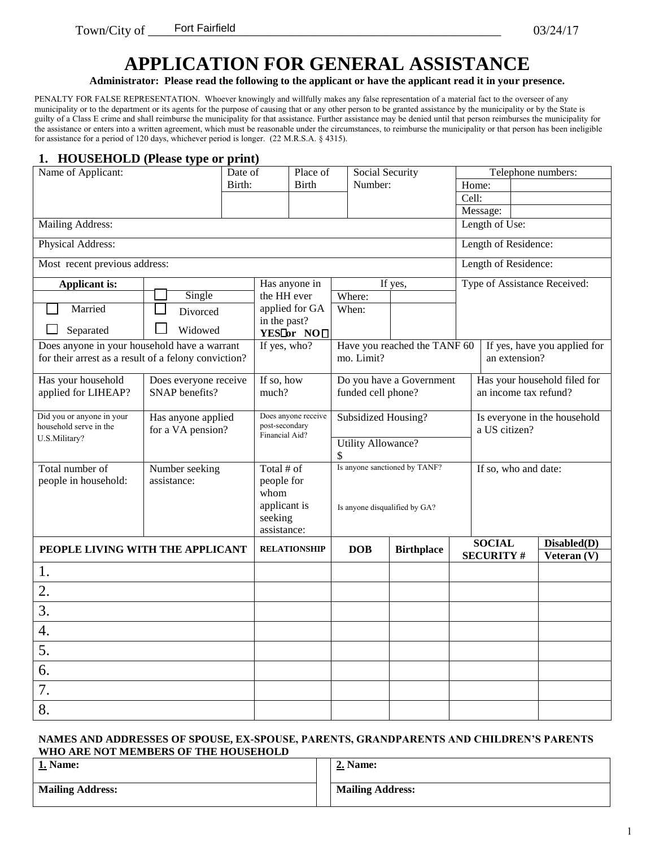## **APPLICATION FOR GENERAL ASSISTANCE**

**Administrator: Please read the following to the applicant or have the applicant read it in your presence.** 

PENALTY FOR FALSE REPRESENTATION. Whoever knowingly and willfully makes any false representation of a material fact to the overseer of any municipality or to the department or its agents for the purpose of causing that or any other person to be granted assistance by the municipality or by the State is guilty of a Class E crime and shall reimburse the municipality for that assistance. Further assistance may be denied until that person reimburses the municipality for the assistance or enters into a written agreement, which must be reasonable under the circumstances, to reimburse the municipality or that person has been ineligible for assistance for a period of 120 days, whichever period is longer. (22 M.R.S.A. § 4315).

#### **1. HOUSEHOLD (Please type or print)**

| Name of Applicant:                                   |                               | Date of |                                  | Place of                            |                               | Social Security           |                               |                      | Telephone numbers:                |  |                              |
|------------------------------------------------------|-------------------------------|---------|----------------------------------|-------------------------------------|-------------------------------|---------------------------|-------------------------------|----------------------|-----------------------------------|--|------------------------------|
|                                                      |                               | Birth:  |                                  | <b>Birth</b>                        |                               | Number:                   |                               | Home:                |                                   |  |                              |
|                                                      |                               |         |                                  |                                     |                               |                           |                               | Cell:                |                                   |  |                              |
|                                                      |                               |         |                                  |                                     |                               |                           |                               |                      | Message:                          |  |                              |
| <b>Mailing Address:</b>                              |                               |         |                                  |                                     |                               |                           |                               |                      | Length of Use:                    |  |                              |
| Physical Address:                                    |                               |         |                                  |                                     |                               |                           |                               |                      | Length of Residence:              |  |                              |
| Most recent previous address:                        |                               |         |                                  |                                     |                               |                           |                               |                      | Length of Residence:              |  |                              |
| <b>Applicant is:</b>                                 |                               |         |                                  | Has anyone in                       |                               |                           | If yes,                       |                      |                                   |  | Type of Assistance Received: |
|                                                      | Single                        |         | the HH ever                      |                                     |                               | Where:                    |                               |                      |                                   |  |                              |
| Married                                              | Divorced                      |         | in the past?                     | applied for GA                      |                               | When:                     |                               |                      |                                   |  |                              |
| Separated                                            | Widowed                       |         |                                  | YES <sup>I</sup> or NO <sub>□</sub> |                               |                           |                               |                      |                                   |  |                              |
| Does anyone in your household have a warrant         |                               |         | If yes, who?                     |                                     |                               |                           | Have you reached the TANF 60  |                      |                                   |  | If yes, have you applied for |
| for their arrest as a result of a felony conviction? |                               |         |                                  |                                     |                               | mo. Limit?                |                               |                      | an extension?                     |  |                              |
| Has your household                                   | Does everyone receive         |         | If so, how                       |                                     |                               |                           | Do you have a Government      |                      |                                   |  | Has your household filed for |
| applied for LIHEAP?                                  | SNAP benefits?                |         | much?                            |                                     |                               | funded cell phone?        |                               |                      | an income tax refund?             |  |                              |
| Did you or anyone in your                            | Has anyone applied            |         |                                  | Does anyone receive                 | Subsidized Housing?           |                           |                               |                      | Is everyone in the household      |  |                              |
| household serve in the                               | for a VA pension?             |         | post-secondary<br>Financial Aid? |                                     |                               |                           |                               |                      | a US citizen?                     |  |                              |
| U.S.Military?                                        |                               |         |                                  |                                     |                               | <b>Utility Allowance?</b> |                               |                      |                                   |  |                              |
|                                                      |                               |         |                                  |                                     |                               |                           |                               |                      |                                   |  |                              |
| Total number of<br>people in household:              | Number seeking<br>assistance: |         | Total # of<br>people for         |                                     | Is anyone sanctioned by TANF? |                           |                               | If so, who and date: |                                   |  |                              |
|                                                      |                               |         | whom                             |                                     |                               |                           |                               |                      |                                   |  |                              |
|                                                      |                               |         | applicant is                     |                                     |                               |                           | Is anyone disqualified by GA? |                      |                                   |  |                              |
|                                                      |                               |         | seeking                          |                                     |                               |                           |                               |                      |                                   |  |                              |
|                                                      |                               |         | assistance:                      |                                     |                               |                           |                               |                      |                                   |  |                              |
| PEOPLE LIVING WITH THE APPLICANT                     |                               |         |                                  | <b>RELATIONSHIP</b>                 |                               | <b>DOB</b>                | <b>Birthplace</b>             |                      | <b>SOCIAL</b><br><b>SECURITY#</b> |  | Disabled(D)<br>Veteran (V)   |
|                                                      |                               |         |                                  |                                     |                               |                           |                               |                      |                                   |  |                              |
| 1.                                                   |                               |         |                                  |                                     |                               |                           |                               |                      |                                   |  |                              |
| 2.                                                   |                               |         |                                  |                                     |                               |                           |                               |                      |                                   |  |                              |
| 3.                                                   |                               |         |                                  |                                     |                               |                           |                               |                      |                                   |  |                              |
| 4.                                                   |                               |         |                                  |                                     |                               |                           |                               |                      |                                   |  |                              |
| 5.                                                   |                               |         |                                  |                                     |                               |                           |                               |                      |                                   |  |                              |
| 6.                                                   |                               |         |                                  |                                     |                               |                           |                               |                      |                                   |  |                              |
| 7.                                                   |                               |         |                                  |                                     |                               |                           |                               |                      |                                   |  |                              |
| 8.                                                   |                               |         |                                  |                                     |                               |                           |                               |                      |                                   |  |                              |

#### **NAMES AND ADDRESSES OF SPOUSE, EX-SPOUSE, PARENTS, GRANDPARENTS AND CHILDREN'S PARENTS WHO ARE NOT MEMBERS OF THE HOUSEHOLD**

| 1. Name:<br>استنت       | <b>2. Name:</b>         |
|-------------------------|-------------------------|
| <b>Mailing Address:</b> | <b>Mailing Address:</b> |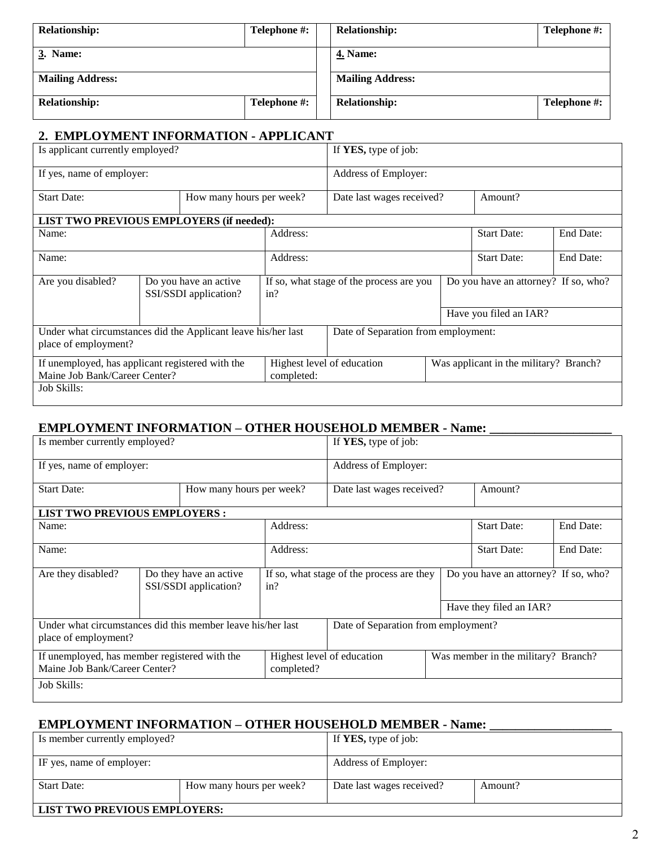| Telephone #:<br><b>Relationship:</b> |              | Telephone #:<br><b>Relationship:</b> |              |  |  |  |
|--------------------------------------|--------------|--------------------------------------|--------------|--|--|--|
| 3. Name:                             |              | <b>4. Name:</b>                      |              |  |  |  |
| <b>Mailing Address:</b>              |              | <b>Mailing Address:</b>              |              |  |  |  |
| <b>Relationship:</b>                 | Telephone #: | <b>Relationship:</b>                 | Telephone #: |  |  |  |

### **2. EMPLOYMENT INFORMATION - APPLICANT**

| Is applicant currently employed?                                                      |  |                                                | If YES, type of job: |                                          |  |                                        |           |  |
|---------------------------------------------------------------------------------------|--|------------------------------------------------|----------------------|------------------------------------------|--|----------------------------------------|-----------|--|
| If yes, name of employer:                                                             |  |                                                |                      | Address of Employer:                     |  |                                        |           |  |
| <b>Start Date:</b>                                                                    |  | How many hours per week?                       |                      | Amount?<br>Date last wages received?     |  |                                        |           |  |
| <b>LIST TWO PREVIOUS EMPLOYERS (if needed):</b>                                       |  |                                                |                      |                                          |  |                                        |           |  |
| Name:                                                                                 |  |                                                | Address:             |                                          |  | <b>Start Date:</b>                     | End Date: |  |
| Name:                                                                                 |  |                                                | Address:             | <b>Start Date:</b>                       |  |                                        | End Date: |  |
| Are you disabled?                                                                     |  | Do you have an active<br>SSI/SSDI application? | in?                  | If so, what stage of the process are you |  | Do you have an attorney? If so, who?   |           |  |
|                                                                                       |  |                                                |                      |                                          |  | Have you filed an IAR?                 |           |  |
| Under what circumstances did the Applicant leave his/her last<br>place of employment? |  |                                                |                      | Date of Separation from employment:      |  |                                        |           |  |
| If unemployed, has applicant registered with the<br>Maine Job Bank/Career Center?     |  |                                                | completed:           | Highest level of education               |  | Was applicant in the military? Branch? |           |  |
| Job Skills:                                                                           |  |                                                |                      |                                          |  |                                        |           |  |

### **EMPLOYMENT INFORMATION – OTHER HOUSEHOLD MEMBER - Name: \_\_\_\_\_\_\_\_\_\_\_\_\_\_\_\_\_\_\_**

| Is member currently employed?                                                       |  |                                                  |            | If YES, type of job:                      |                                      |           |
|-------------------------------------------------------------------------------------|--|--------------------------------------------------|------------|-------------------------------------------|--------------------------------------|-----------|
| If yes, name of employer:                                                           |  |                                                  |            | Address of Employer:                      |                                      |           |
| <b>Start Date:</b><br>How many hours per week?                                      |  |                                                  |            | Date last wages received?                 | Amount?                              |           |
| <b>LIST TWO PREVIOUS EMPLOYERS:</b>                                                 |  |                                                  |            |                                           |                                      |           |
| Name:                                                                               |  |                                                  | Address:   |                                           | <b>Start Date:</b>                   | End Date: |
| Name:                                                                               |  |                                                  | Address:   |                                           | <b>Start Date:</b>                   | End Date: |
| Are they disabled?                                                                  |  | Do they have an active.<br>SSI/SSDI application? | in?        | If so, what stage of the process are they | Do you have an attorney? If so, who? |           |
|                                                                                     |  |                                                  |            |                                           | Have they filed an IAR?              |           |
| Under what circumstances did this member leave his/her last<br>place of employment? |  |                                                  |            | Date of Separation from employment?       |                                      |           |
| If unemployed, has member registered with the<br>Maine Job Bank/Career Center?      |  |                                                  | completed? | Highest level of education                | Was member in the military? Branch?  |           |
| Job Skills:                                                                         |  |                                                  |            |                                           |                                      |           |

### **EMPLOYMENT INFORMATION – OTHER HOUSEHOLD MEMBER - Name: \_\_\_\_\_\_\_\_\_\_\_\_\_\_\_\_\_\_\_**

| Is member currently employed? |                          | If <b>YES</b> , type of job:         |  |  |  |
|-------------------------------|--------------------------|--------------------------------------|--|--|--|
| IF yes, name of employer:     |                          | Address of Employer:                 |  |  |  |
| <b>Start Date:</b>            | How many hours per week? | Date last wages received?<br>Amount? |  |  |  |
| LIST TWO PREVIOUS EMPLOYERS:  |                          |                                      |  |  |  |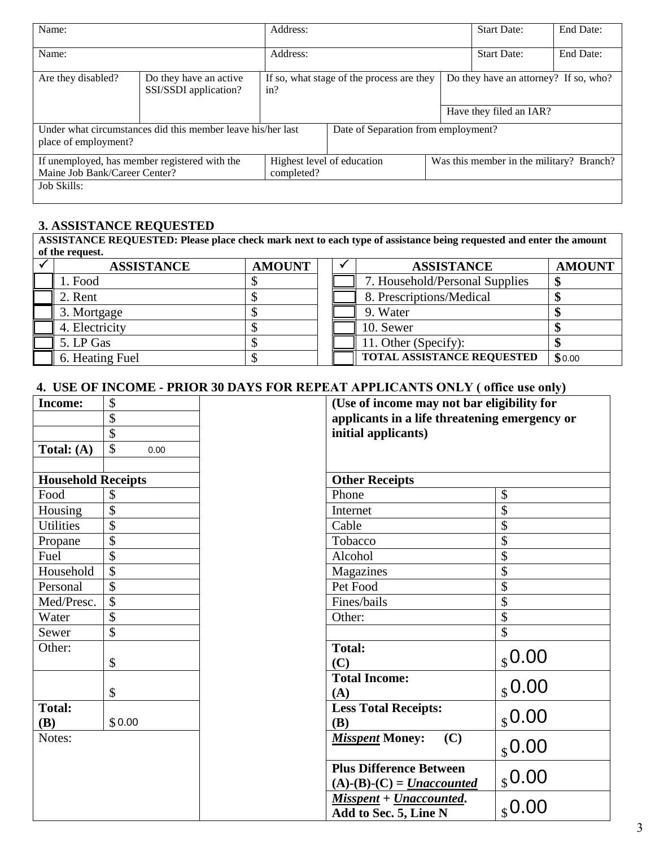| Name:                                                                          |                                                             | Address:                                         |                                     |  |                                          | End Date: |  |
|--------------------------------------------------------------------------------|-------------------------------------------------------------|--------------------------------------------------|-------------------------------------|--|------------------------------------------|-----------|--|
| Name:                                                                          |                                                             | Address:                                         | <b>Start Date:</b>                  |  |                                          |           |  |
| Are they disabled?                                                             | Do they have an active<br>SSI/SSDI application?             | If so, what stage of the process are they<br>in? |                                     |  | Do they have an attorney? If so, who?    |           |  |
|                                                                                |                                                             |                                                  |                                     |  | Have they filed an IAR?                  |           |  |
| place of employment?                                                           | Under what circumstances did this member leave his/her last |                                                  | Date of Separation from employment? |  |                                          |           |  |
| If unemployed, has member registered with the<br>Maine Job Bank/Career Center? |                                                             | completed?                                       | Highest level of education          |  | Was this member in the military? Branch? |           |  |
| Job Skills:                                                                    |                                                             |                                                  |                                     |  |                                          |           |  |

### **3. ASSISTANCE REQUESTED**

**ASSISTANCE REQUESTED: Please place check mark next to each type of assistance being requested and enter the amount of the request.**

| <b>ASSISTANCE</b> | <b>AMOUNT</b> |  | <b>ASSISTANCE</b>              | <b>AMOUNT</b> |
|-------------------|---------------|--|--------------------------------|---------------|
| 1. Food           |               |  | 7. Household/Personal Supplies | мD            |
| 2. Rent           |               |  | 8. Prescriptions/Medical       |               |
| 3. Mortgage       |               |  | 9. Water                       |               |
| 4. Electricity    |               |  | 10. Sewer                      |               |
| 5. LP Gas         |               |  | 11. Other (Specify):           |               |
| 6. Heating Fuel   |               |  | TOTAL ASSISTANCE REQUESTED     | \$0.00        |

### **4. USE OF INCOME - PRIOR 30 DAYS FOR REPEAT APPLICANTS ONLY ( office use only)**

| <b>Income:</b>              | \$<br>\$                  | (Use of income may not bar eligibility for<br>applicants in a life threatening emergency or |                       |  |
|-----------------------------|---------------------------|---------------------------------------------------------------------------------------------|-----------------------|--|
|                             | \$                        | initial applicants)                                                                         |                       |  |
| Total: $(A)$                | \$<br>0.00                |                                                                                             |                       |  |
| <b>Household Receipts</b>   |                           | <b>Other Receipts</b>                                                                       |                       |  |
| Food                        | \$                        | Phone                                                                                       | \$                    |  |
| Housing                     | \$                        | Internet                                                                                    | \$                    |  |
| <b>Utilities</b>            | \$                        | Cable                                                                                       | \$                    |  |
| Propane                     | $\overline{\$}$           | Tobacco                                                                                     | \$                    |  |
| Fuel                        | \$                        | Alcohol                                                                                     | \$                    |  |
| Household                   | \$                        | Magazines                                                                                   | \$                    |  |
| Personal                    | \$                        | Pet Food                                                                                    | \$                    |  |
| Med/Presc.                  | $\boldsymbol{\mathsf{S}}$ | Fines/bails                                                                                 | \$                    |  |
| Water                       | \$                        | Other:                                                                                      | \$                    |  |
| Sewer                       | \$                        |                                                                                             | \$                    |  |
| Other:                      | \$                        | <b>Total:</b><br>(C)                                                                        | $_{\$}$ 0.00          |  |
|                             | \$                        | <b>Total Income:</b><br>(A)                                                                 | $_{\$}$ 0.00          |  |
| <b>Total:</b><br><b>(B)</b> | \$0.00                    | <b>Less Total Receipts:</b><br><b>(B)</b>                                                   | \$0.00                |  |
| Notes:                      |                           | <b>Misspent Money:</b><br>(C)                                                               | $_{\$}$ 0.00          |  |
|                             |                           | <b>Plus Difference Between</b><br>$(A)$ - $(B)$ - $(C)$ = <i>Unaccounted</i>                |                       |  |
|                             |                           | Misspent + Unaccounted.<br>Add to Sec. 5, Line N                                            | $\frac{$0.00}{$0.00}$ |  |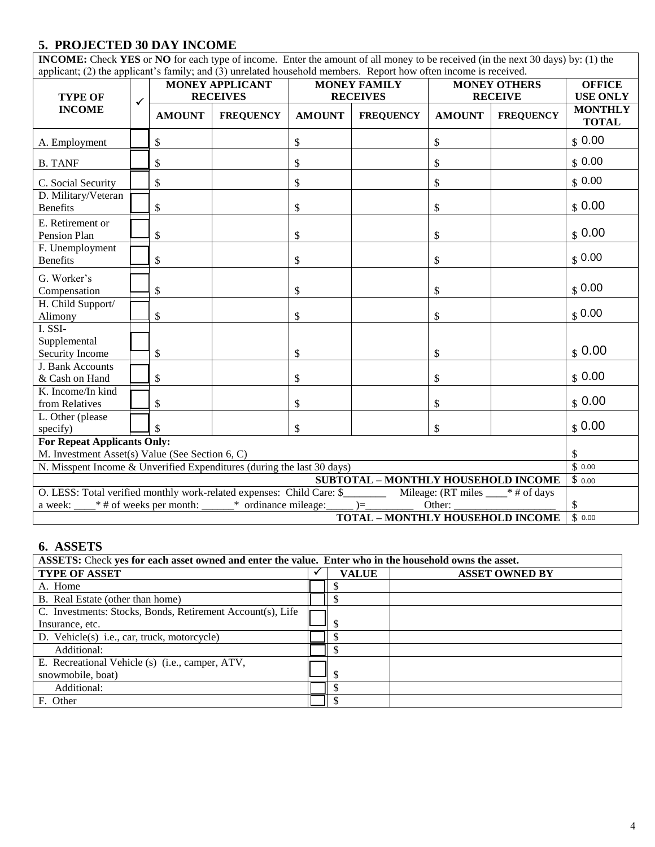### **5. PROJECTED 30 DAY INCOME**

**INCOME:** Check **YES** or **NO** for each type of income. Enter the amount of all money to be received (in the next 30 days) by: (1) the applicant; (2) the applicant's family; and (3) unrelated household members. Report how often income is received.

| applicant, $(2)$ are applicant 5 minity, and $(3)$ antenated household included. Technical media is recent can<br><b>TYPE OF</b> | <b>MONEY APPLICANT</b><br><b>MONEY FAMILY</b><br><b>MONEY OTHERS</b><br><b>RECEIVES</b><br><b>RECEIVES</b><br><b>RECEIVE</b><br>$\checkmark$ |               |                  | <b>OFFICE</b><br><b>USE ONLY</b> |                  |               |                  |                                |
|----------------------------------------------------------------------------------------------------------------------------------|----------------------------------------------------------------------------------------------------------------------------------------------|---------------|------------------|----------------------------------|------------------|---------------|------------------|--------------------------------|
| <b>INCOME</b>                                                                                                                    |                                                                                                                                              | <b>AMOUNT</b> | <b>FREQUENCY</b> | <b>AMOUNT</b>                    | <b>FREQUENCY</b> | <b>AMOUNT</b> | <b>FREQUENCY</b> | <b>MONTHLY</b><br><b>TOTAL</b> |
| A. Employment                                                                                                                    |                                                                                                                                              | \$            |                  | \$                               |                  | \$            |                  | \$0.00                         |
| <b>B. TANF</b>                                                                                                                   |                                                                                                                                              | \$            |                  | \$                               |                  | \$            |                  | \$0.00                         |
| C. Social Security                                                                                                               |                                                                                                                                              | \$            |                  | \$                               |                  | \$            |                  | \$0.00                         |
| D. Military/Veteran<br><b>Benefits</b>                                                                                           |                                                                                                                                              | \$            |                  | \$                               |                  | \$            |                  | \$0.00                         |
| E. Retirement or<br>Pension Plan                                                                                                 |                                                                                                                                              | \$            |                  | \$                               |                  | \$            |                  | \$0.00                         |
| F. Unemployment<br><b>Benefits</b>                                                                                               |                                                                                                                                              | \$            |                  | \$                               |                  | \$            |                  | $S$ 0.00                       |
| G. Worker's<br>Compensation                                                                                                      |                                                                                                                                              | \$            |                  | \$                               |                  | \$            |                  | \$0.00                         |
| H. Child Support/<br>Alimony                                                                                                     |                                                                                                                                              | \$            |                  | \$                               |                  | \$            |                  | \$0.00                         |
| I. SSI-<br>Supplemental<br>Security Income                                                                                       |                                                                                                                                              | \$            |                  | \$                               |                  | \$            |                  | \$0.00                         |
| J. Bank Accounts<br>& Cash on Hand                                                                                               |                                                                                                                                              | \$            |                  | \$                               |                  | \$            |                  | \$0.00                         |
| K. Income/In kind<br>from Relatives                                                                                              |                                                                                                                                              | \$            |                  | \$                               |                  | \$            |                  | \$0.00                         |
| L. Other (please<br>specify)                                                                                                     |                                                                                                                                              |               |                  | \$                               |                  | \$            |                  | \$0.00                         |
| <b>For Repeat Applicants Only:</b><br>M. Investment Asset(s) Value (See Section 6, C)                                            |                                                                                                                                              |               |                  |                                  |                  |               |                  | \$                             |
| N. Misspent Income & Unverified Expenditures (during the last 30 days)                                                           |                                                                                                                                              |               |                  |                                  |                  |               |                  | \$0.00                         |
| SUBTOTAL - MONTHLY HOUSEHOLD INCOME                                                                                              |                                                                                                                                              |               |                  |                                  |                  |               |                  | \$0.00                         |
| O. LESS: Total verified monthly work-related expenses: Child Care: \$___________ Mileage: (RT miles ___* # of days               |                                                                                                                                              |               |                  |                                  |                  |               |                  |                                |
| a week: $\_\_\ast$ # of weeks per month: $\_\_\ast$ ordinance mileage: $\_\_\_\right) = \_\_\_\_\_\$                             |                                                                                                                                              |               |                  |                                  |                  | Other:        |                  | \$<br>\$0.00                   |
| <b>TOTAL - MONTHLY HOUSEHOLD INCOME</b>                                                                                          |                                                                                                                                              |               |                  |                                  |                  |               |                  |                                |

#### **6. ASSETS**

| ASSETS: Check yes for each asset owned and enter the value. Enter who in the household owns the asset. |  |              |                       |  |  |  |  |  |
|--------------------------------------------------------------------------------------------------------|--|--------------|-----------------------|--|--|--|--|--|
| <b>TYPE OF ASSET</b>                                                                                   |  | <b>VALUE</b> | <b>ASSET OWNED BY</b> |  |  |  |  |  |
| A. Home                                                                                                |  |              |                       |  |  |  |  |  |
| B. Real Estate (other than home)                                                                       |  |              |                       |  |  |  |  |  |
| C. Investments: Stocks, Bonds, Retirement Account(s), Life                                             |  |              |                       |  |  |  |  |  |
| Insurance, etc.                                                                                        |  |              |                       |  |  |  |  |  |
| D. Vehicle(s) i.e., car, truck, motorcycle)                                                            |  |              |                       |  |  |  |  |  |
| Additional:                                                                                            |  |              |                       |  |  |  |  |  |
| E. Recreational Vehicle (s) (i.e., camper, ATV,                                                        |  |              |                       |  |  |  |  |  |
| snowmobile, boat)                                                                                      |  |              |                       |  |  |  |  |  |
| Additional:                                                                                            |  |              |                       |  |  |  |  |  |
| F. Other                                                                                               |  |              |                       |  |  |  |  |  |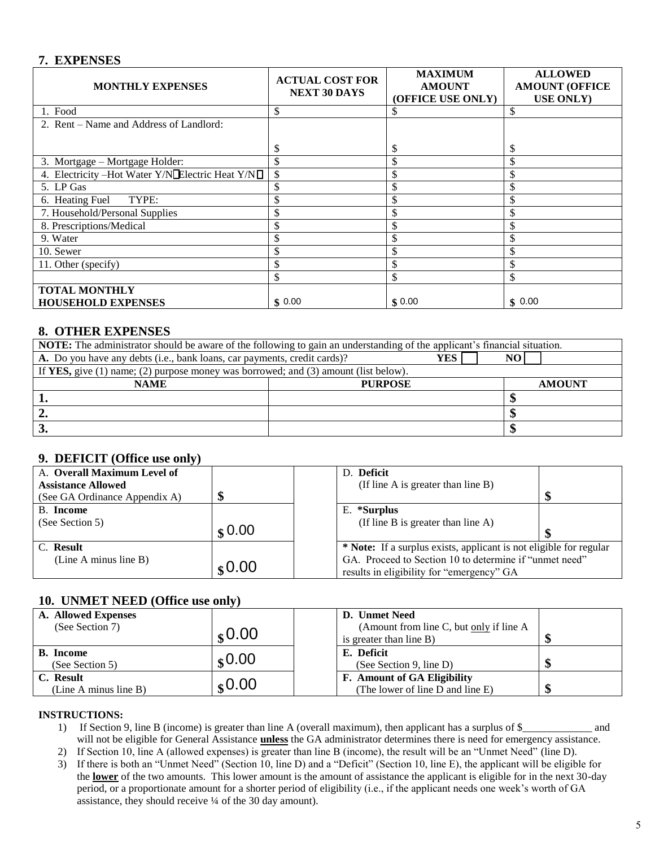#### **7. EXPENSES**

| <b>MONTHLY EXPENSES</b>                                 | <b>ACTUAL COST FOR</b><br><b>NEXT 30 DAYS</b> | <b>MAXIMUM</b><br><b>AMOUNT</b><br>(OFFICE USE ONLY) | <b>ALLOWED</b><br><b>AMOUNT (OFFICE</b><br><b>USE ONLY</b> ) |
|---------------------------------------------------------|-----------------------------------------------|------------------------------------------------------|--------------------------------------------------------------|
| 1. Food                                                 | \$                                            | Ф                                                    | \$                                                           |
| 2. Rent – Name and Address of Landlord:                 |                                               |                                                      |                                                              |
|                                                         | \$                                            | \$                                                   | \$                                                           |
| 3. Mortgage – Mortgage Holder:                          | \$                                            | \$                                                   | \$                                                           |
| 4. Electricity - Hot Water Y/N <b>Electric Heat Y/N</b> | \$                                            | \$                                                   |                                                              |
| 5. LP Gas                                               | \$                                            | \$                                                   | \$                                                           |
| TYPE:<br>6. Heating Fuel                                | \$                                            | \$                                                   |                                                              |
| 7. Household/Personal Supplies                          | \$                                            | \$                                                   |                                                              |
| 8. Prescriptions/Medical                                | \$                                            | J)                                                   |                                                              |
| 9. Water                                                |                                               | ה.                                                   |                                                              |
| 10. Sewer                                               |                                               | ה.                                                   |                                                              |
| 11. Other (specify)                                     | \$                                            | ה.                                                   |                                                              |
|                                                         | ъ                                             | \$                                                   |                                                              |
| <b>TOTAL MONTHLY</b>                                    |                                               |                                                      |                                                              |
| <b>HOUSEHOLD EXPENSES</b>                               | \$0.00                                        | \$0.00                                               | \$0.00                                                       |

#### **8. OTHER EXPENSES**

| <b>NOTE:</b> The administrator should be aware of the following to gain an understanding of the applicant's financial situation. |                |  |               |  |  |
|----------------------------------------------------------------------------------------------------------------------------------|----------------|--|---------------|--|--|
| A. Do you have any debts (i.e., bank loans, car payments, credit cards)?<br>YES                                                  |                |  |               |  |  |
| If YES, give (1) name; (2) purpose money was borrowed; and (3) amount (list below).                                              |                |  |               |  |  |
| <b>NAME</b>                                                                                                                      | <b>PURPOSE</b> |  | <b>AMOUNT</b> |  |  |
|                                                                                                                                  |                |  |               |  |  |
|                                                                                                                                  |                |  |               |  |  |
| J.                                                                                                                               |                |  |               |  |  |

#### **9. DEFICIT (Office use only)**

| A. Overall Maximum Level of   |        |  | D. Deficit                                                                                          |  |
|-------------------------------|--------|--|-----------------------------------------------------------------------------------------------------|--|
| <b>Assistance Allowed</b>     |        |  | (If line A is greater than line B)                                                                  |  |
| (See GA Ordinance Appendix A) | ጣ      |  |                                                                                                     |  |
| B. Income                     |        |  | E. *Surplus                                                                                         |  |
| (See Section 5)               |        |  | (If line B is greater than line $A$ )                                                               |  |
|                               | \$0.00 |  |                                                                                                     |  |
| C. Result                     |        |  | * Note: If a surplus exists, applicant is not eligible for regular                                  |  |
| (Line A minus line B)         |        |  | GA. Proceed to Section 10 to determine if "unmet need"<br>results in eligibility for "emergency" GA |  |
| \$0.00                        |        |  |                                                                                                     |  |

#### **10. UNMET NEED (Office use only)**

| A. Allowed Expenses                 |         | D. Unmet Need                                                      |  |
|-------------------------------------|---------|--------------------------------------------------------------------|--|
| (See Section 7)                     | \$0.00  | (Amount from line C, but only if line A<br>is greater than line B) |  |
| <b>B.</b> Income<br>(See Section 5) | $0.00*$ | E. Deficit<br>(See Section 9, line D)                              |  |
| C. Result<br>(Line A minus line B)  | \$0.00  | F. Amount of GA Eligibility<br>(The lower of line D and line E)    |  |

#### **INSTRUCTIONS:**

- 1) If Section 9, line B (income) is greater than line A (overall maximum), then applicant has a surplus of \$\_\_\_\_\_\_\_\_\_\_\_\_\_ and will not be eligible for General Assistance **unless** the GA administrator determines there is need for emergency assistance.
- 2) If Section 10, line A (allowed expenses) is greater than line B (income), the result will be an "Unmet Need" (line D).
- 3) If there is both an "Unmet Need" (Section 10, line D) and a "Deficit" (Section 10, line E), the applicant will be eligible for the **lower** of the two amounts. This lower amount is the amount of assistance the applicant is eligible for in the next 30-day period, or a proportionate amount for a shorter period of eligibility (i.e., if the applicant needs one week's worth of GA assistance, they should receive ¼ of the 30 day amount).